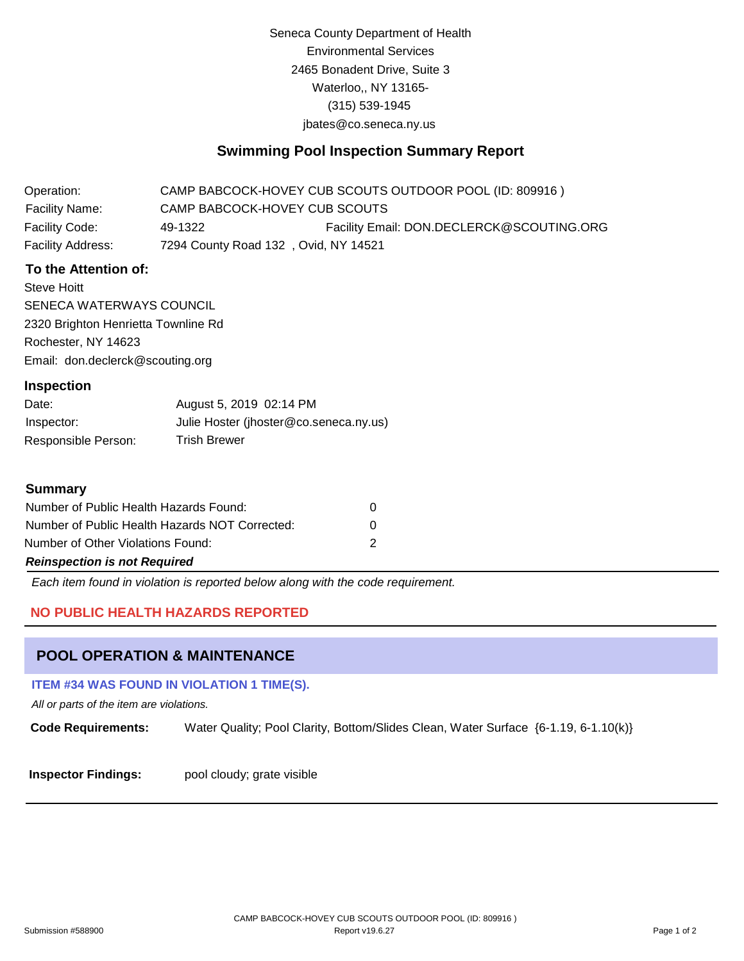Seneca County Department of Health Environmental Services 2465 Bonadent Drive, Suite 3 Waterloo,, NY 13165- (315) 539-1945 [jbates@co.seneca.ny.us](mailto:jbates@co.seneca.ny.us)

# **Swimming Pool Inspection Summary Report**

| Operation:            |                               | CAMP BABCOCK-HOVEY CUB SCOUTS OUTDOOR POOL (ID: 809916) |  |
|-----------------------|-------------------------------|---------------------------------------------------------|--|
| <b>Facility Name:</b> | CAMP BABCOCK-HOVEY CUB SCOUTS |                                                         |  |
| Facility Code:        | 49-1322                       | Facility Email: DON.DECLERCK@SCOUTING.ORG               |  |
| Facility Address:     |                               | 7294 County Road 132, Ovid, NY 14521                    |  |

### **To the Attention of:**

Steve Hoitt SENECA WATERWAYS COUNCIL 2320 Brighton Henrietta Townline Rd Rochester, NY 14623 [Email: don.declerck@scouting.org](mailto:don.declerck@scouting.org)

#### **Inspection**

| Date:               | August 5, 2019 02:14 PM                |
|---------------------|----------------------------------------|
| Inspector:          | Julie Hoster (jhoster@co.seneca.ny.us) |
| Responsible Person: | <b>Trish Brewer</b>                    |

#### **Summary**

| Number of Public Health Hazards Found:         |   |  |  |
|------------------------------------------------|---|--|--|
| Number of Public Health Hazards NOT Corrected: | 0 |  |  |
| Number of Other Violations Found:              |   |  |  |
| <b>Reinspection is not Required</b>            |   |  |  |

*Each item found in violation is reported below along with the code requirement.*

## **NO PUBLIC HEALTH HAZARDS REPORTED**

## **POOL OPERATION & MAINTENANCE**

#### **ITEM #34 WAS FOUND IN VIOLATION 1 TIME(S).**

*All or parts of the item are violations.*

**Code Requirements:** Water Quality; Pool Clarity, Bottom/Slides Clean, Water Surface {6-1.19, 6-1.10(k)}

**Inspector Findings:** pool cloudy; grate visible